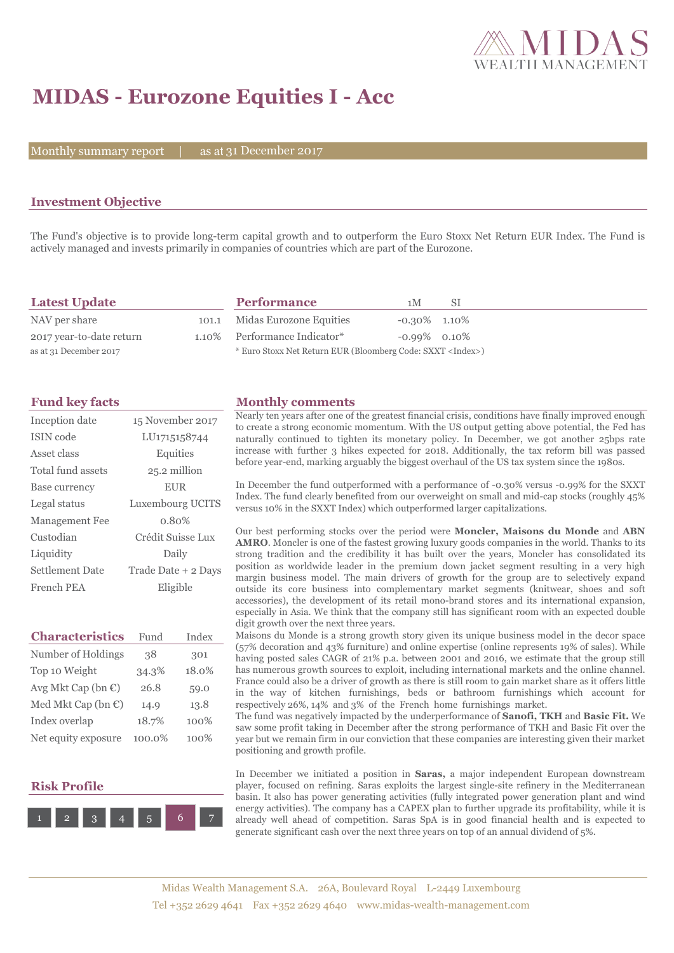

# **MIDAS - Eurozone Equities I - Acc**

Monthly summary report  $|$ 

as at 31 December 2017

## **Investment Objective**

The Fund's objective is to provide long-term capital growth and to outperform the Euro Stoxx Net Return EUR Index. The Fund is actively managed and invests primarily in companies of countries which are part of the Eurozone.

| <b>Latest Update</b>     | <b>Performance</b>                                                 | 1 M             | -SI |
|--------------------------|--------------------------------------------------------------------|-----------------|-----|
| NAV per share            | 101.1 Midas Eurozone Equities                                      | $-0.30\%$ 1.10% |     |
| 2017 year-to-date return | 1.10% Performance Indicator*                                       | $-0.99\%$ 0.10% |     |
| as at 31 December 2017   | * Euro Stoxx Net Return EUR (Bloomberg Code: SXXT <index>)</index> |                 |     |

| Inception date        | 15 November 2017    |
|-----------------------|---------------------|
| ISIN code             | LU1715158744        |
| Asset class           | Equities            |
| Total fund assets     | 25.2 million        |
| Base currency         | <b>EUR</b>          |
| Legal status          | Luxembourg UCITS    |
| <b>Management Fee</b> | $0.80\%$            |
| Custodian             | Crédit Suisse Lux   |
| Liquidity             | Daily               |
| Settlement Date       | Trade Date + 2 Days |
| French PEA            | Eligible            |

| <b>Characteristics</b>         | Fund      | Index |
|--------------------------------|-----------|-------|
| Number of Holdings             | 38        | 301   |
| Top 10 Weight                  | 34.3%     | 18.0% |
| Avg Mkt Cap (bn $\mathbb{C}$ ) | 26.8      | 59.0  |
| Med Mkt Cap (bn $\mathbb{C}$ ) | 14.9      | 13.8  |
| Index overlap                  | 18.7%     | 100%  |
| Net equity exposure            | $100.0\%$ | 100%  |

### **Risk Profile**



#### **Fund key facts Monthly comments**

Nearly ten years after one of the greatest financial crisis, conditions have finally improved enough to create a strong economic momentum. With the US output getting above potential, the Fed has naturally continued to tighten its monetary policy. In December, we got another 25bps rate increase with further 3 hikes expected for 2018. Additionally, the tax reform bill was passed before year-end, marking arguably the biggest overhaul of the US tax system since the 1980s.

In December the fund outperformed with a performance of -0.30% versus -0.99% for the SXXT Index. The fund clearly benefited from our overweight on small and mid-cap stocks (roughly 45% versus 10% in the SXXT Index) which outperformed larger capitalizations.

Our best performing stocks over the period were **Moncler, Maisons du Monde** and **ABN AMRO**. Moncler is one of the fastest growing luxury goods companies in the world. Thanks to its strong tradition and the credibility it has built over the years, Moncler has consolidated its position as worldwide leader in the premium down jacket segment resulting in a very high margin business model. The main drivers of growth for the group are to selectively expand outside its core business into complementary market segments (knitwear, shoes and soft accessories), the development of its retail mono-brand stores and its international expansion, especially in Asia. We think that the company still has significant room with an expected double digit growth over the next three years.

Maisons du Monde is a strong growth story given its unique business model in the decor space (57% decoration and 43% furniture) and online expertise (online represents 19% of sales). While having posted sales CAGR of 21% p.a. between 2001 and 2016, we estimate that the group still has numerous growth sources to exploit, including international markets and the online channel. France could also be a driver of growth as there is still room to gain market share as it offers little in the way of kitchen furnishings, beds or bathroom furnishings which account for respectively 26%, 14% and 3% of the French home furnishings market.

The fund was negatively impacted by the underperformance of **Sanofi, TKH** and **Basic Fit.** We saw some profit taking in December after the strong performance of TKH and Basic Fit over the year but we remain firm in our conviction that these companies are interesting given their market positioning and growth profile.

In December we initiated a position in **Saras,** a major independent European downstream player, focused on refining. Saras exploits the largest single-site refinery in the Mediterranean basin. It also has power generating activities (fully integrated power generation plant and wind energy activities). The company has a CAPEX plan to further upgrade its profitability, while it is already well ahead of competition. Saras SpA is in good financial health and is expected to generate significant cash over the next three years on top of an annual dividend of 5%.